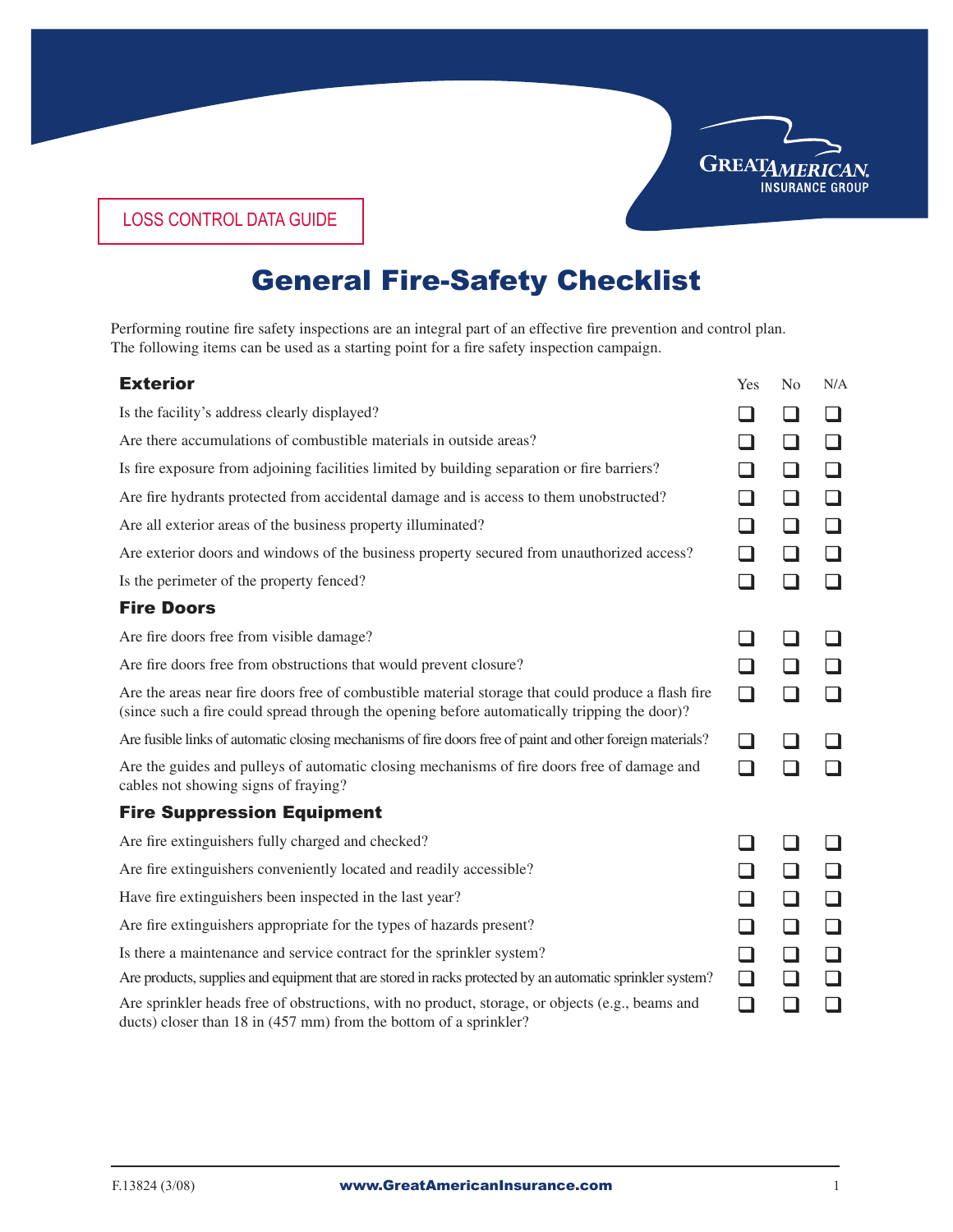

LOSS CONTROL DATA GUIDE

## General Fire-Safety Checklist

Performing routine fire safety inspections are an integral part of an effective fire prevention and control plan. The following items can be used as a starting point for a fire safety inspection campaign.

| <b>Exterior</b>                                                                                                                                                                                    | Yes    | N <sub>0</sub> | N/A    |  |
|----------------------------------------------------------------------------------------------------------------------------------------------------------------------------------------------------|--------|----------------|--------|--|
| Is the facility's address clearly displayed?                                                                                                                                                       |        |                | l 1    |  |
| Are there accumulations of combustible materials in outside areas?                                                                                                                                 |        |                | □      |  |
| Is fire exposure from adjoining facilities limited by building separation or fire barriers?                                                                                                        | ר      | l 1            | $\Box$ |  |
| Are fire hydrants protected from accidental damage and is access to them unobstructed?                                                                                                             |        |                | $\Box$ |  |
| Are all exterior areas of the business property illuminated?                                                                                                                                       | $\Box$ |                | $\Box$ |  |
| Are exterior doors and windows of the business property secured from unauthorized access?                                                                                                          | $\Box$ |                | □      |  |
| Is the perimeter of the property fenced?                                                                                                                                                           | $\Box$ |                | ∩      |  |
| <b>Fire Doors</b>                                                                                                                                                                                  |        |                |        |  |
| Are fire doors free from visible damage?                                                                                                                                                           |        |                |        |  |
| Are fire doors free from obstructions that would prevent closure?                                                                                                                                  | $\Box$ |                |        |  |
| Are the areas near fire doors free of combustible material storage that could produce a flash fire<br>(since such a fire could spread through the opening before automatically tripping the door)? | $\Box$ |                |        |  |
| Are fusible links of automatic closing mechanisms of fire doors free of paint and other foreign materials?                                                                                         |        |                |        |  |
| Are the guides and pulleys of automatic closing mechanisms of fire doors free of damage and<br>cables not showing signs of fraying?                                                                | H      |                |        |  |
| <b>Fire Suppression Equipment</b>                                                                                                                                                                  |        |                |        |  |
| Are fire extinguishers fully charged and checked?                                                                                                                                                  |        |                |        |  |
| Are fire extinguishers conveniently located and readily accessible?                                                                                                                                |        |                |        |  |
| Have fire extinguishers been inspected in the last year?                                                                                                                                           |        |                | $\Box$ |  |
| Are fire extinguishers appropriate for the types of hazards present?                                                                                                                               |        |                | ❏      |  |
| Is there a maintenance and service contract for the sprinkler system?                                                                                                                              | $\Box$ | $\Box$         | $\Box$ |  |
| Are products, supplies and equipment that are stored in racks protected by an automatic sprinkler system?                                                                                          | ப      |                | $\Box$ |  |
| Are sprinkler heads free of obstructions, with no product, storage, or objects (e.g., beams and<br>ducts) closer than 18 in (457 mm) from the bottom of a sprinkler?                               |        |                |        |  |